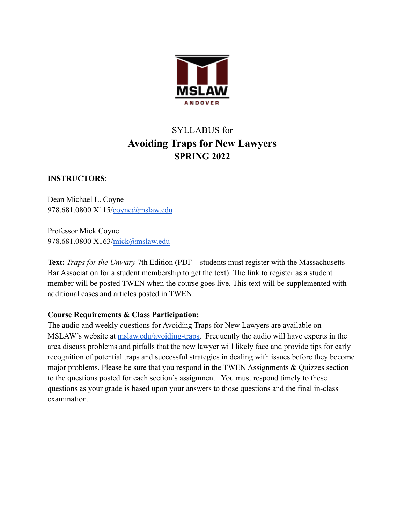

# SYLLABUS for **Avoiding Traps for New Lawyers SPRING 2022**

# **INSTRUCTORS**:

Dean Michael L. Coyne 978.681.0800 X115/[coyne@mslaw.edu](mailto:coyne@mslaw.edu)

Professor Mick Coyne 978.681.0800 X163/[mick@mslaw.edu](mailto:mick@mslaw.edu)

**Text:** *Traps for the Unwary* 7th Edition (PDF – students must register with the Massachusetts Bar Association for a student membership to get the text). The link to register as a student member will be posted TWEN when the course goes live. This text will be supplemented with additional cases and articles posted in TWEN.

# **Course Requirements & Class Participation:**

The audio and weekly questions for Avoiding Traps for New Lawyers are available on MSLAW's website at [mslaw.edu/avoiding-traps.](https://www.mslaw.edu/avoiding-traps/) Frequently the audio will have experts in the area discuss problems and pitfalls that the new lawyer will likely face and provide tips for early recognition of potential traps and successful strategies in dealing with issues before they become major problems. Please be sure that you respond in the TWEN Assignments & Quizzes section to the questions posted for each section's assignment. You must respond timely to these questions as your grade is based upon your answers to those questions and the final in-class examination.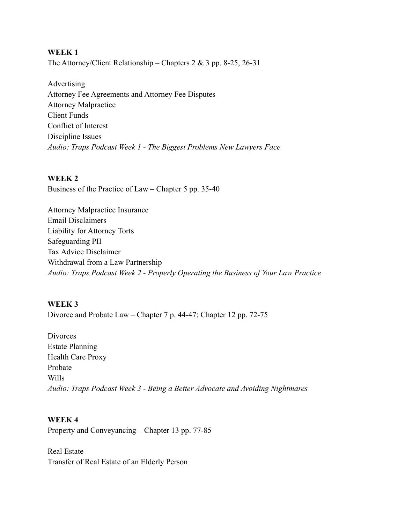## **WEEK 1**

The Attorney/Client Relationship – Chapters 2 & 3 pp. 8-25, 26-31

Advertising Attorney Fee Agreements and Attorney Fee Disputes Attorney Malpractice Client Funds Conflict of Interest Discipline Issues *Audio: Traps Podcast Week 1 - The Biggest Problems New Lawyers Face*

#### **WEEK 2**

Business of the Practice of Law – Chapter 5 pp. 35-40

Attorney Malpractice Insurance Email Disclaimers Liability for Attorney Torts Safeguarding PII Tax Advice Disclaimer Withdrawal from a Law Partnership *Audio: Traps Podcast Week 2 - Properly Operating the Business of Your Law Practice*

## **WEEK 3**

Divorce and Probate Law – Chapter 7 p. 44-47; Chapter 12 pp. 72-75

**Divorces** Estate Planning Health Care Proxy Probate Wills *Audio: Traps Podcast Week 3 - Being a Better Advocate and Avoiding Nightmares*

# **WEEK 4**

Property and Conveyancing – Chapter 13 pp. 77-85

Real Estate Transfer of Real Estate of an Elderly Person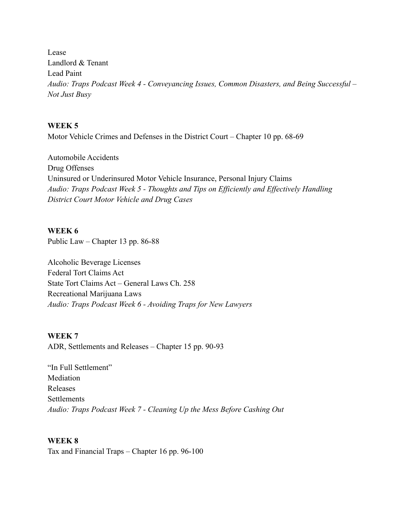Lease Landlord & Tenant Lead Paint *Audio: Traps Podcast Week 4 - Conveyancing Issues, Common Disasters, and Being Successful – Not Just Busy*

#### **WEEK 5**

Motor Vehicle Crimes and Defenses in the District Court – Chapter 10 pp. 68-69

Automobile Accidents Drug Offenses Uninsured or Underinsured Motor Vehicle Insurance, Personal Injury Claims *Audio: Traps Podcast Week 5 - Thoughts and Tips on Efficiently and Effectively Handling District Court Motor Vehicle and Drug Cases*

#### **WEEK 6**

Public Law – Chapter 13 pp. 86-88

Alcoholic Beverage Licenses Federal Tort Claims Act State Tort Claims Act – General Laws Ch. 258 Recreational Marijuana Laws *Audio: Traps Podcast Week 6 - Avoiding Traps for New Lawyers*

#### **WEEK 7**

ADR, Settlements and Releases – Chapter 15 pp. 90-93

"In Full Settlement" **Mediation** Releases Settlements *Audio: Traps Podcast Week 7 - Cleaning Up the Mess Before Cashing Out*

## **WEEK 8**

Tax and Financial Traps – Chapter 16 pp. 96-100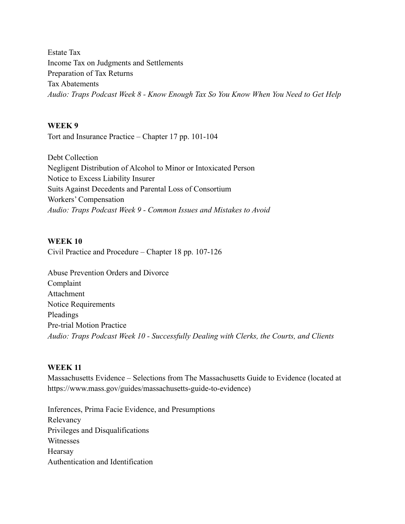Estate Tax Income Tax on Judgments and Settlements Preparation of Tax Returns Tax Abatements *Audio: Traps Podcast Week 8 - Know Enough Tax So You Know When You Need to Get Help*

#### **WEEK 9**

Tort and Insurance Practice – Chapter 17 pp. 101-104

Debt Collection Negligent Distribution of Alcohol to Minor or Intoxicated Person Notice to Excess Liability Insurer Suits Against Decedents and Parental Loss of Consortium Workers' Compensation *Audio: Traps Podcast Week 9 - Common Issues and Mistakes to Avoid*

#### **WEEK 10**

Civil Practice and Procedure – Chapter 18 pp. 107-126

Abuse Prevention Orders and Divorce Complaint Attachment Notice Requirements Pleadings Pre-trial Motion Practice *Audio: Traps Podcast Week 10 - Successfully Dealing with Clerks, the Courts, and Clients*

#### **WEEK 11**

Massachusetts Evidence – Selections from The Massachusetts Guide to Evidence (located at https://www.mass.gov/guides/massachusetts-guide-to-evidence)

Inferences, Prima Facie Evidence, and Presumptions Relevancy Privileges and Disqualifications Witnesses Hearsay Authentication and Identification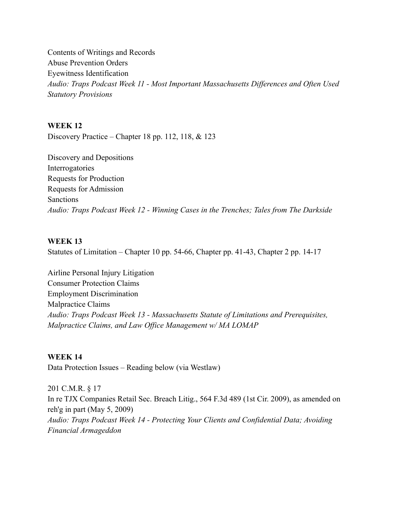Contents of Writings and Records Abuse Prevention Orders Eyewitness Identification *Audio: Traps Podcast Week 11 - Most Important Massachusetts Differences and Often Used Statutory Provisions*

## **WEEK 12**

Discovery Practice – Chapter 18 pp. 112, 118, & 123

Discovery and Depositions Interrogatories Requests for Production Requests for Admission Sanctions *Audio: Traps Podcast Week 12 - Winning Cases in the Trenches; Tales from The Darkside*

#### **WEEK 13**

Statutes of Limitation – Chapter 10 pp. 54-66, Chapter pp. 41-43, Chapter 2 pp. 14-17

Airline Personal Injury Litigation Consumer Protection Claims Employment Discrimination Malpractice Claims *Audio: Traps Podcast Week 13 - Massachusetts Statute of Limitations and Prerequisites, Malpractice Claims, and Law Office Management w/ MA LOMAP*

#### **WEEK 14**

Data Protection Issues – Reading below (via Westlaw)

201 C.M.R. § 17 In re TJX Companies Retail Sec. Breach Litig., 564 F.3d 489 (1st Cir. 2009), as amended on reh'g in part (May 5, 2009) *Audio: Traps Podcast Week 14 - Protecting Your Clients and Confidential Data; Avoiding Financial Armageddon*